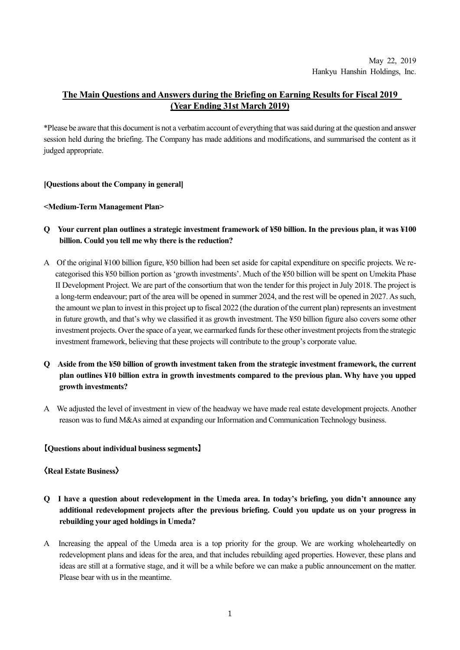# **The Main Questions and Answers during the Briefing on Earning Results for Fiscal 2019 (Year Ending 31st March 2019)**

\*Please be aware that this document is not a verbatim account of everything that was said during at the question and answer session held during the briefing. The Company has made additions and modifications, and summarised the content as it judged appropriate.

### **[Questions about the Company in general]**

#### **<Medium-Term Management Plan>**

- **Q Your current plan outlines a strategic investment framework of ¥50 billion. In the previous plan, it was ¥100 billion. Could you tell me why there is the reduction?**
- A Of the original ¥100 billion figure, ¥50 billion had been set aside for capital expenditure on specific projects. We recategorised this ¥50 billion portion as 'growth investments'. Much of the ¥50 billion will be spent on Umekita Phase II Development Project. We are part of the consortium that won the tender for this project in July 2018. The project is a long-term endeavour; part of the area will be opened in summer 2024, and the rest will be opened in 2027. As such, the amount we plan to invest in this project up to fiscal 2022 (the duration of the current plan) represents an investment in future growth, and that's why we classified it as growth investment. The ¥50 billion figure also covers some other investment projects. Over the space of a year, we earmarked funds for these other investment projects from the strategic investment framework, believing that these projects will contribute to the group's corporate value.
- **Q Aside from the ¥50 billion of growth investment taken from the strategic investment framework, the current plan outlines ¥10 billion extra in growth investments compared to the previous plan. Why have you upped growth investments?**
- A We adjusted the level of investment in view of the headway we have made real estate development projects. Another reason was to fund M&As aimed at expanding our Information and Communication Technology business.

### **【Questions about individual business segments】**

#### **〈Real Estate Business〉**

- **Q I have a question about redevelopment in the Umeda area. In today's briefing, you didn't announce any additional redevelopment projects after the previous briefing. Could you update us on your progress in rebuilding your aged holdings in Umeda?**
- A Increasing the appeal of the Umeda area is a top priority for the group. We are working wholeheartedly on redevelopment plans and ideas for the area, and that includes rebuilding aged properties. However, these plans and ideas are still at a formative stage, and it will be a while before we can make a public announcement on the matter. Please bear with us in the meantime.